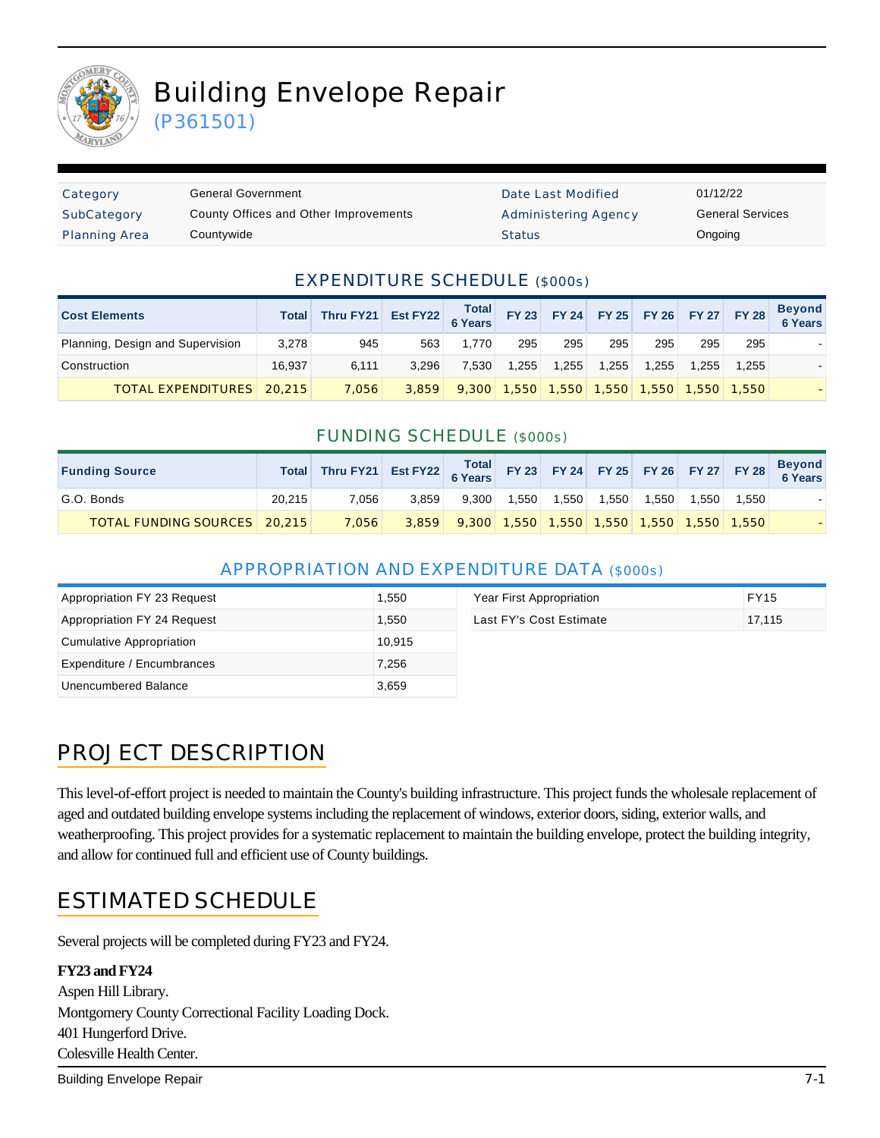

# Building Envelope Repair

(P361501)

| Category             | <b>General Government</b>             | Date Last Modified   | 01/12/22 |
|----------------------|---------------------------------------|----------------------|----------|
| SubCategory          | County Offices and Other Improvements | Administering Agency | General  |
| <b>Planning Area</b> | Countywide                            | <b>Status</b>        | Ongoing  |

Date Last Modified 01/12/22 Administering Agency **General Services** 

#### EXPENDITURE SCHEDULE (\$000s)

| <b>Cost Elements</b>             | <b>Total</b> | Thru FY21 Est FY22 6 Years FY23 FY24 FY25 FY26 FY27 FY28 |       |       |               |       |       |       |      |             | <b>Beyond</b><br>6 Years |
|----------------------------------|--------------|----------------------------------------------------------|-------|-------|---------------|-------|-------|-------|------|-------------|--------------------------|
| Planning, Design and Supervision | 3,278        | 945                                                      | 563   | 1.770 | 295           | 295   | 295   | 295   | 295  | 295         |                          |
| Construction                     | 16.937       | 6.111                                                    | 3.296 | 7.530 | 1.255         | 1.255 | 1.255 | 1.255 | .255 | 1.255       |                          |
| <b>TOTAL EXPENDITURES</b> 20.215 |              | 7,056                                                    | 3.859 |       | $9,300$ 1,550 | 1.550 | 1.550 | 1.550 |      | 1,550 1,550 |                          |

#### FUNDING SCHEDULE (\$000s)

| <b>Funding Source</b>          |        | Total Thru FY21 Est FY22 Total FY 23 FY 24 FY 25 FY 26 FY 27 FY 28 |       |                                                       |       |       |       |       |       |      | Beyond<br>6 Years |
|--------------------------------|--------|--------------------------------------------------------------------|-------|-------------------------------------------------------|-------|-------|-------|-------|-------|------|-------------------|
| G.O. Bonds                     | 20,215 | 7.056                                                              | 3.859 | 9.300                                                 | 1.550 | 1.550 | 1.550 | 1.550 | 1.550 | .550 |                   |
| TOTAL FUNDING SOURCES   20,215 |        | 7.056                                                              |       | 3,859 9,300 1,550 1,550 1,550 1,550 1,550 1,550 1,550 |       |       |       |       |       |      |                   |

#### APPROPRIATION AND EXPENDITURE DATA (\$000s)

| Appropriation FY 23 Request | 1,550  | Year First Appropriation | <b>FY15</b> |
|-----------------------------|--------|--------------------------|-------------|
| Appropriation FY 24 Request | 1.550  | Last FY's Cost Estimate  | 17.115      |
| Cumulative Appropriation    | 10.915 |                          |             |
| Expenditure / Encumbrances  | 7.256  |                          |             |
| Unencumbered Balance        | 3,659  |                          |             |

# PROJECT DESCRIPTION

This level-of-effort project is needed to maintain the County's building infrastructure. This project funds the wholesale replacement of aged and outdated building envelope systems including the replacement of windows, exterior doors, siding, exterior walls, and weatherproofing. This project provides for a systematic replacement to maintain the building envelope, protect the building integrity, and allow for continued full and efficient use of County buildings.

### ESTIMATED SCHEDULE

Several projects will be completed during FY23 and FY24.

#### **FY23 and FY24**

Aspen Hill Library. Montgomery County Correctional Facility Loading Dock. 401 Hungerford Drive. Colesville Health Center.